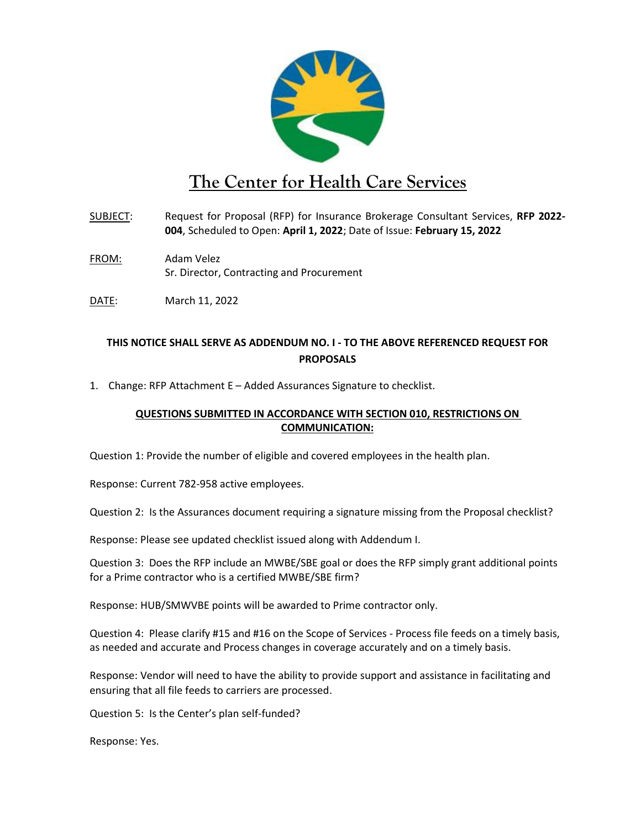

## **The Center for Health Care Services**

- SUBJECT: Request for Proposal (RFP) for Insurance Brokerage Consultant Services, **RFP 2022- 004**, Scheduled to Open: **April 1, 2022**; Date of Issue: **February 15, 2022**
- FROM: Adam Velez Sr. Director, Contracting and Procurement
- DATE: March 11, 2022

## **THIS NOTICE SHALL SERVE AS ADDENDUM NO. I - TO THE ABOVE REFERENCED REQUEST FOR PROPOSALS**

1. Change: RFP Attachment E – Added Assurances Signature to checklist.

## **QUESTIONS SUBMITTED IN ACCORDANCE WITH SECTION 010, RESTRICTIONS ON COMMUNICATION:**

Question 1: Provide the number of eligible and covered employees in the health plan.

Response: Current 782-958 active employees.

Question 2: Is the Assurances document requiring a signature missing from the Proposal checklist?

Response: Please see updated checklist issued along with Addendum I.

Question 3: Does the RFP include an MWBE/SBE goal or does the RFP simply grant additional points for a Prime contractor who is a certified MWBE/SBE firm?

Response: HUB/SMWVBE points will be awarded to Prime contractor only.

Question 4: Please clarify #15 and #16 on the Scope of Services - Process file feeds on a timely basis, as needed and accurate and Process changes in coverage accurately and on a timely basis.

Response: Vendor will need to have the ability to provide support and assistance in facilitating and ensuring that all file feeds to carriers are processed.

Question 5: Is the Center's plan self-funded?

Response: Yes.